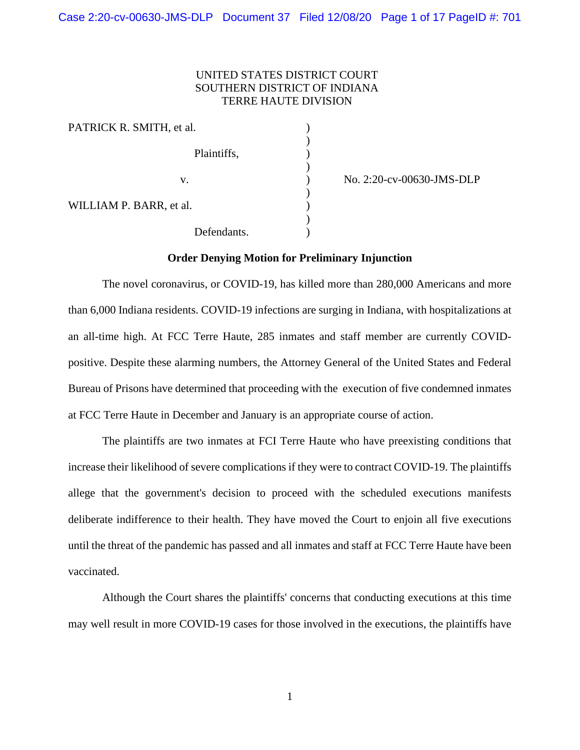# UNITED STATES DISTRICT COURT SOUTHERN DISTRICT OF INDIANA TERRE HAUTE DIVISION

)

)

)

)

| PATRICK R. SMITH, et al. |             |  |
|--------------------------|-------------|--|
|                          | Plaintiffs, |  |
|                          | V.          |  |
| WILLIAM P. BARR, et al.  |             |  |
|                          | Defendants. |  |

) No. 2:20-cv-00630-JMS-DLP

#### **Order Denying Motion for Preliminary Injunction**

The novel coronavirus, or COVID-19, has killed more than 280,000 Americans and more than 6,000 Indiana residents. COVID-19 infections are surging in Indiana, with hospitalizations at an all-time high. At FCC Terre Haute, 285 inmates and staff member are currently COVIDpositive. Despite these alarming numbers, the Attorney General of the United States and Federal Bureau of Prisons have determined that proceeding with the execution of five condemned inmates at FCC Terre Haute in December and January is an appropriate course of action.

The plaintiffs are two inmates at FCI Terre Haute who have preexisting conditions that increase their likelihood of severe complications if they were to contract COVID-19. The plaintiffs allege that the government's decision to proceed with the scheduled executions manifests deliberate indifference to their health. They have moved the Court to enjoin all five executions until the threat of the pandemic has passed and all inmates and staff at FCC Terre Haute have been vaccinated.

Although the Court shares the plaintiffs' concerns that conducting executions at this time may well result in more COVID-19 cases for those involved in the executions, the plaintiffs have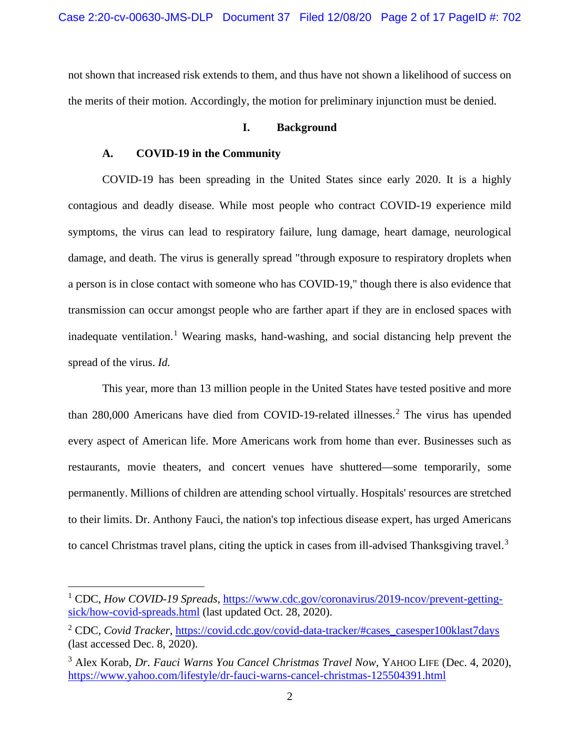not shown that increased risk extends to them, and thus have not shown a likelihood of success on the merits of their motion. Accordingly, the motion for preliminary injunction must be denied.

# **I. Background**

### **A. COVID-19 in the Community**

COVID-19 has been spreading in the United States since early 2020. It is a highly contagious and deadly disease. While most people who contract COVID-19 experience mild symptoms, the virus can lead to respiratory failure, lung damage, heart damage, neurological damage, and death. The virus is generally spread "through exposure to respiratory droplets when a person is in close contact with someone who has COVID-19," though there is also evidence that transmission can occur amongst people who are farther apart if they are in enclosed spaces with inadequate ventilation.<sup>[1](#page-1-0)</sup> Wearing masks, hand-washing, and social distancing help prevent the spread of the virus. *Id.* 

This year, more than 13 million people in the United States have tested positive and more than [2](#page-1-1)80,000 Americans have died from COVID-19-related illnesses.<sup>2</sup> The virus has upended every aspect of American life. More Americans work from home than ever. Businesses such as restaurants, movie theaters, and concert venues have shuttered—some temporarily, some permanently. Millions of children are attending school virtually. Hospitals' resources are stretched to their limits. Dr. Anthony Fauci, the nation's top infectious disease expert, has urged Americans to cancel Christmas travel plans, citing the uptick in cases from ill-advised Thanksgiving travel.<sup>[3](#page-1-2)</sup>

<span id="page-1-0"></span><sup>1</sup> CDC, *How COVID-19 Spreads*, [https://www.cdc.gov/coronavirus/2019-ncov/prevent-getting](https://www.cdc.gov/coronavirus/2019-ncov/prevent-getting-sick/how-covid-spreads.html)[sick/how-covid-spreads.html](https://www.cdc.gov/coronavirus/2019-ncov/prevent-getting-sick/how-covid-spreads.html) (last updated Oct. 28, 2020).

<span id="page-1-1"></span><sup>&</sup>lt;sup>2</sup> CDC, *Covid Tracker*, [https://covid.cdc.gov/covid-data-tracker/#cases\\_casesper100klast7days](https://covid.cdc.gov/covid-data-tracker/#cases_casesper100klast7days) (last accessed Dec. 8, 2020).

<span id="page-1-2"></span><sup>&</sup>lt;sup>3</sup> Alex Korab, *Dr. Fauci Warns You Cancel Christmas Travel Now*, YAHOO LIFE (Dec. 4, 2020), <https://www.yahoo.com/lifestyle/dr-fauci-warns-cancel-christmas-125504391.html>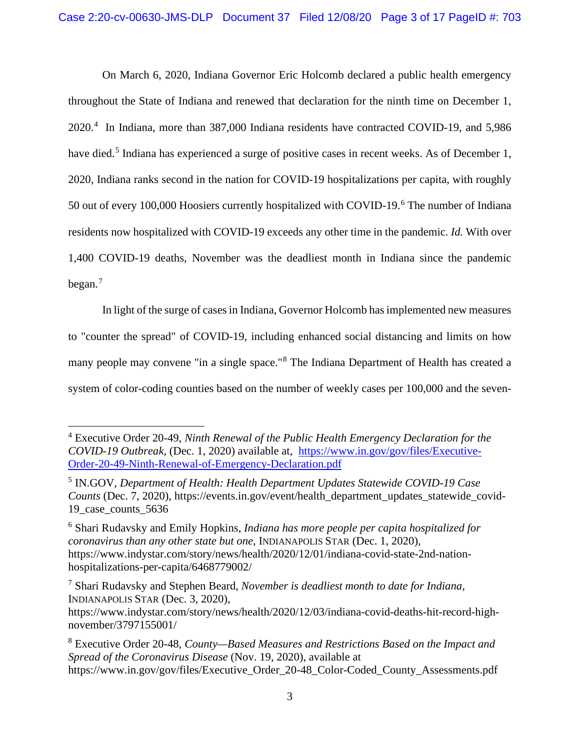On March 6, 2020, Indiana Governor Eric Holcomb declared a public health emergency throughout the State of Indiana and renewed that declaration for the ninth time on December 1, 2020.[4](#page-2-0) In Indiana, more than 387,000 Indiana residents have contracted COVID-19, and 5,986 have died.<sup>[5](#page-2-1)</sup> Indiana has experienced a surge of positive cases in recent weeks. As of December 1, 2020, Indiana ranks second in the nation for COVID-19 hospitalizations per capita, with roughly 50 out of every 100,000 Hoosiers currently hospitalized with COVID-19.<sup>[6](#page-2-2)</sup> The number of Indiana residents now hospitalized with COVID-19 exceeds any other time in the pandemic. *Id.* With over 1,400 COVID-19 deaths, November was the deadliest month in Indiana since the pandemic began.[7](#page-2-3)

In light of the surge of cases in Indiana, Governor Holcomb has implemented new measures to "counter the spread" of COVID-19, including enhanced social distancing and limits on how many people may convene "in a single space."[8](#page-2-4) The Indiana Department of Health has created a system of color-coding counties based on the number of weekly cases per 100,000 and the seven-

<span id="page-2-0"></span><sup>4</sup> Executive Order 20-49, *Ninth Renewal of the Public Health Emergency Declaration for the COVID-19 Outbreak*, (Dec. 1, 2020) available at, [https://www.in.gov/gov/files/Executive-](https://www.in.gov/gov/files/Executive-Order-20-49-Ninth-Renewal-of-Emergency-Declaration.pdf)[Order-20-49-Ninth-Renewal-of-Emergency-Declaration.pdf](https://www.in.gov/gov/files/Executive-Order-20-49-Ninth-Renewal-of-Emergency-Declaration.pdf)

<span id="page-2-1"></span><sup>5</sup> IN.GOV, *Department of Health: Health Department Updates Statewide COVID-19 Case Counts* (Dec. 7, 2020), https://events.in.gov/event/health\_department\_updates\_statewide\_covid-19\_case\_counts\_5636

<span id="page-2-2"></span><sup>6</sup> Shari Rudavsky and Emily Hopkins, *Indiana has more people per capita hospitalized for coronavirus than any other state but one*, INDIANAPOLIS STAR (Dec. 1, 2020), https://www.indystar.com/story/news/health/2020/12/01/indiana-covid-state-2nd-nationhospitalizations-per-capita/6468779002/

<span id="page-2-3"></span><sup>7</sup> Shari Rudavsky and Stephen Beard, *November is deadliest month to date for Indiana*, INDIANAPOLIS STAR (Dec. 3, 2020),

https://www.indystar.com/story/news/health/2020/12/03/indiana-covid-deaths-hit-record-highnovember/3797155001/

<span id="page-2-4"></span><sup>8</sup> Executive Order 20-48, *County—Based Measures and Restrictions Based on the Impact and Spread of the Coronavirus Disease* (Nov. 19, 2020), available at https://www.in.gov/gov/files/Executive Order 20-48 Color-Coded County Assessments.pdf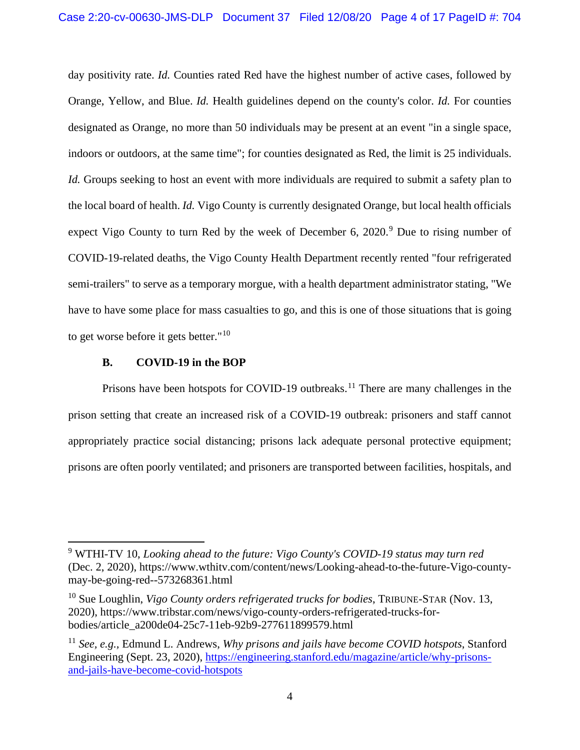day positivity rate. *Id.* Counties rated Red have the highest number of active cases, followed by Orange, Yellow, and Blue. *Id.* Health guidelines depend on the county's color. *Id.* For counties designated as Orange, no more than 50 individuals may be present at an event "in a single space, indoors or outdoors, at the same time"; for counties designated as Red, the limit is 25 individuals. *Id.* Groups seeking to host an event with more individuals are required to submit a safety plan to the local board of health. *Id.* Vigo County is currently designated Orange, but local health officials expect Vigo County to turn Red by the week of December 6,  $2020$ .<sup>[9](#page-3-0)</sup> Due to rising number of COVID-19-related deaths, the Vigo County Health Department recently rented "four refrigerated semi-trailers" to serve as a temporary morgue, with a health department administrator stating, "We have to have some place for mass casualties to go, and this is one of those situations that is going to get worse before it gets better."[10](#page-3-1)

# **B. COVID-19 in the BOP**

Prisons have been hotspots for COVID-19 outbreaks.<sup>[11](#page-3-2)</sup> There are many challenges in the prison setting that create an increased risk of a COVID-19 outbreak: prisoners and staff cannot appropriately practice social distancing; prisons lack adequate personal protective equipment; prisons are often poorly ventilated; and prisoners are transported between facilities, hospitals, and

<span id="page-3-0"></span><sup>9</sup> WTHI-TV 10, *Looking ahead to the future: Vigo County's COVID-19 status may turn red*  (Dec. 2, 2020), https://www.wthitv.com/content/news/Looking-ahead-to-the-future-Vigo-countymay-be-going-red--573268361.html

<span id="page-3-1"></span><sup>10</sup> Sue Loughlin, *Vigo County orders refrigerated trucks for bodies*, TRIBUNE-STAR (Nov. 13, 2020), https://www.tribstar.com/news/vigo-county-orders-refrigerated-trucks-forbodies/article\_a200de04-25c7-11eb-92b9-277611899579.html

<span id="page-3-2"></span><sup>11</sup> *See, e.g.,* Edmund L. Andrews, *Why prisons and jails have become COVID hotspots*, Stanford Engineering (Sept. 23, 2020), [https://engineering.stanford.edu/magazine/article/why-prisons](https://engineering.stanford.edu/magazine/article/why-prisons-and-jails-have-become-covid-hotspots)[and-jails-have-become-covid-hotspots](https://engineering.stanford.edu/magazine/article/why-prisons-and-jails-have-become-covid-hotspots)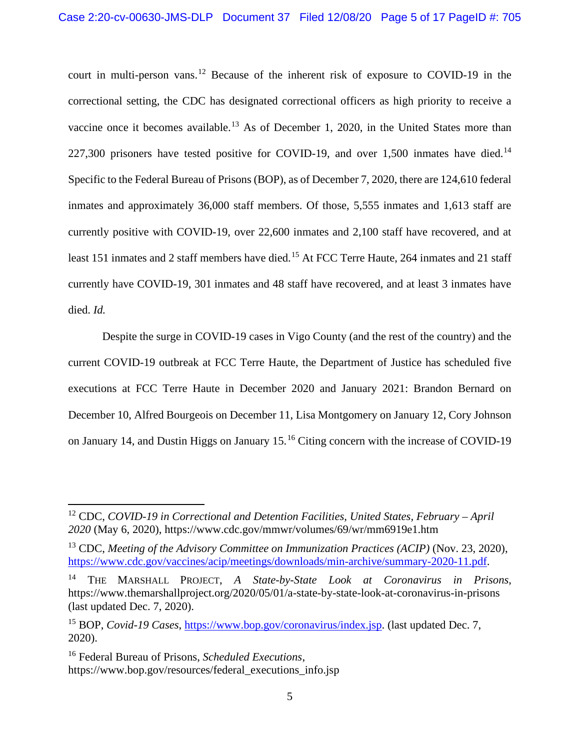court in multi-person vans.[12](#page-4-0) Because of the inherent risk of exposure to COVID-19 in the correctional setting, the CDC has designated correctional officers as high priority to receive a vaccine once it becomes available.<sup>[13](#page-4-1)</sup> As of December 1, 2020, in the United States more than 227,300 prisoners have tested positive for COVID-19, and over 1,500 inmates have died.<sup>[14](#page-4-2)</sup> Specific to the Federal Bureau of Prisons (BOP), as of December 7, 2020, there are 124,610 federal inmates and approximately 36,000 staff members. Of those, 5,555 inmates and 1,613 staff are currently positive with COVID-19, over 22,600 inmates and 2,100 staff have recovered, and at least [15](#page-4-3)1 inmates and 2 staff members have died.<sup>15</sup> At FCC Terre Haute, 264 inmates and 21 staff currently have COVID-19, 301 inmates and 48 staff have recovered, and at least 3 inmates have died. *Id.*

Despite the surge in COVID-19 cases in Vigo County (and the rest of the country) and the current COVID-19 outbreak at FCC Terre Haute, the Department of Justice has scheduled five executions at FCC Terre Haute in December 2020 and January 2021: Brandon Bernard on December 10, Alfred Bourgeois on December 11, Lisa Montgomery on January 12, Cory Johnson on January 14, and Dustin Higgs on January 15.[16](#page-4-4) Citing concern with the increase of COVID-19

<span id="page-4-0"></span><sup>12</sup> CDC, *COVID-19 in Correctional and Detention Facilities, United States, February – April 2020* (May 6, 2020), https://www.cdc.gov/mmwr/volumes/69/wr/mm6919e1.htm

<span id="page-4-1"></span><sup>13</sup> CDC, *Meeting of the Advisory Committee on Immunization Practices (ACIP)* (Nov. 23, 2020), [https://www.cdc.gov/vaccines/acip/meetings/downloads/min-archive/summary-2020-11.pdf.](https://www.cdc.gov/vaccines/acip/meetings/downloads/min-archive/summary-2020-11.pdf)

<span id="page-4-2"></span><sup>14</sup> THE MARSHALL PROJECT, *A State-by-State Look at Coronavirus in Prisons*, https://www.themarshallproject.org/2020/05/01/a-state-by-state-look-at-coronavirus-in-prisons (last updated Dec. 7, 2020).

<span id="page-4-3"></span><sup>&</sup>lt;sup>15</sup> BOP, *Covid-19 Cases*, [https://www.bop.gov/coronavirus/index.jsp.](https://www.bop.gov/coronavirus/index.jsp) (last updated Dec. 7, 2020).

<span id="page-4-4"></span><sup>16</sup> Federal Bureau of Prisons, *Scheduled Executions*, https://www.bop.gov/resources/federal\_executions\_info.jsp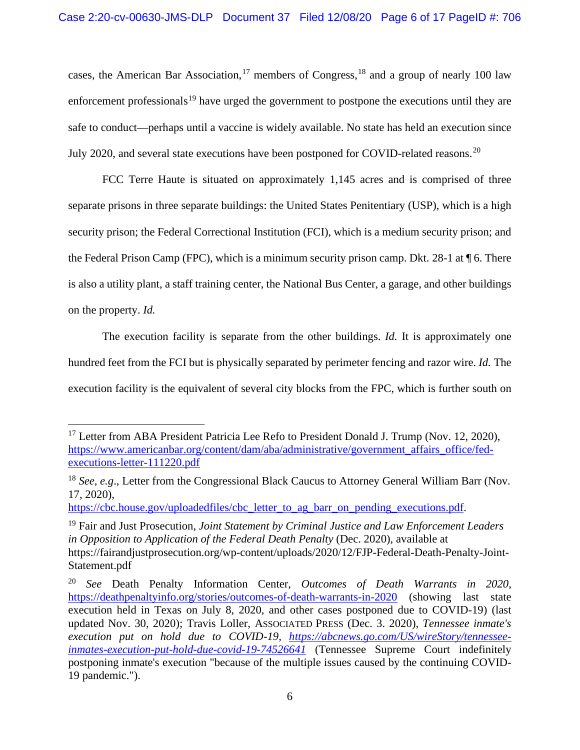cases, the American Bar Association,<sup>[17](#page-5-0)</sup> members of Congress,<sup>[18](#page-5-1)</sup> and a group of nearly 100 law enforcement professionals<sup>[19](#page-5-2)</sup> have urged the government to postpone the executions until they are safe to conduct—perhaps until a vaccine is widely available. No state has held an execution since July [20](#page-5-3)20, and several state executions have been postponed for COVID-related reasons.<sup>20</sup>

FCC Terre Haute is situated on approximately 1,145 acres and is comprised of three separate prisons in three separate buildings: the United States Penitentiary (USP), which is a high security prison; the Federal Correctional Institution (FCI), which is a medium security prison; and the Federal Prison Camp (FPC), which is a minimum security prison camp. Dkt.  $28-1$  at  $\P$  6. There is also a utility plant, a staff training center, the National Bus Center, a garage, and other buildings on the property. *Id.* 

The execution facility is separate from the other buildings. *Id.* It is approximately one hundred feet from the FCI but is physically separated by perimeter fencing and razor wire. *Id.* The execution facility is the equivalent of several city blocks from the FPC, which is further south on

[https://cbc.house.gov/uploadedfiles/cbc\\_letter\\_to\\_ag\\_barr\\_on\\_pending\\_executions.pdf.](https://cbc.house.gov/uploadedfiles/cbc_letter_to_ag_barr_on_pending_executions.pdf)

<span id="page-5-2"></span><sup>19</sup> Fair and Just Prosecution, *Joint Statement by Criminal Justice and Law Enforcement Leaders in Opposition to Application of the Federal Death Penalty* (Dec. 2020), available at https://fairandjustprosecution.org/wp-content/uploads/2020/12/FJP-Federal-Death-Penalty-Joint-Statement.pdf

<span id="page-5-0"></span><sup>&</sup>lt;sup>17</sup> Letter from ABA President Patricia Lee Refo to President Donald J. Trump (Nov. 12, 2020), [https://www.americanbar.org/content/dam/aba/administrative/government\\_affairs\\_office/fed](https://www.americanbar.org/content/dam/aba/administrative/government_affairs_office/fed-executions-letter-111220.pdf)[executions-letter-111220.pdf](https://www.americanbar.org/content/dam/aba/administrative/government_affairs_office/fed-executions-letter-111220.pdf)

<span id="page-5-1"></span><sup>&</sup>lt;sup>18</sup> *See, e.g.*, Letter from the Congressional Black Caucus to Attorney General William Barr (Nov. 17, 2020),

<span id="page-5-3"></span><sup>20</sup> *See* Death Penalty Information Center, *Outcomes of Death Warrants in 2020*, <https://deathpenaltyinfo.org/stories/outcomes-of-death-warrants-in-2020> (showing last state execution held in Texas on July 8, 2020, and other cases postponed due to COVID-19) (last updated Nov. 30, 2020); Travis Loller, ASSOCIATED PRESS (Dec. 3. 2020), *Tennessee inmate's execution put on hold due to COVID-19, [https://abcnews.go.com/US/wireStory/tennessee](https://abcnews.go.com/US/wireStory/tennessee-inmates-execution-put-hold-due-covid-19-74526641)[inmates-execution-put-hold-due-covid-19-74526641](https://abcnews.go.com/US/wireStory/tennessee-inmates-execution-put-hold-due-covid-19-74526641)* (Tennessee Supreme Court indefinitely postponing inmate's execution "because of the multiple issues caused by the continuing COVID-19 pandemic.").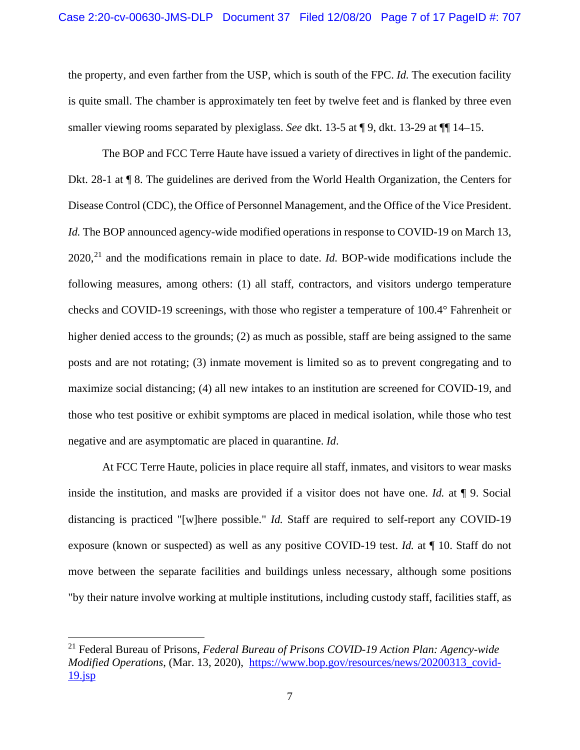the property, and even farther from the USP, which is south of the FPC. *Id.* The execution facility is quite small. The chamber is approximately ten feet by twelve feet and is flanked by three even smaller viewing rooms separated by plexiglass. *See* dkt. 13-5 at ¶ 9, dkt. 13-29 at ¶¶ 14–15.

The BOP and FCC Terre Haute have issued a variety of directives in light of the pandemic. Dkt. 28-1 at ¶ 8. The guidelines are derived from the World Health Organization, the Centers for Disease Control (CDC), the Office of Personnel Management, and the Office of the Vice President. *Id.* The BOP announced agency-wide modified operations in response to COVID-19 on March 13, 2020,[21](#page-6-0) and the modifications remain in place to date. *Id.* BOP-wide modifications include the following measures, among others: (1) all staff, contractors, and visitors undergo temperature checks and COVID-19 screenings, with those who register a temperature of 100.4° Fahrenheit or higher denied access to the grounds; (2) as much as possible, staff are being assigned to the same posts and are not rotating; (3) inmate movement is limited so as to prevent congregating and to maximize social distancing; (4) all new intakes to an institution are screened for COVID-19, and those who test positive or exhibit symptoms are placed in medical isolation, while those who test negative and are asymptomatic are placed in quarantine. *Id*.

At FCC Terre Haute, policies in place require all staff, inmates, and visitors to wear masks inside the institution, and masks are provided if a visitor does not have one. *Id.* at ¶ 9. Social distancing is practiced "[w]here possible." *Id.* Staff are required to self-report any COVID-19 exposure (known or suspected) as well as any positive COVID-19 test. *Id.* at ¶ 10. Staff do not move between the separate facilities and buildings unless necessary, although some positions "by their nature involve working at multiple institutions, including custody staff, facilities staff, as

<span id="page-6-0"></span><sup>21</sup> Federal Bureau of Prisons, *Federal Bureau of Prisons COVID-19 Action Plan: Agency-wide Modified Operations*, (Mar. 13, 2020), [https://www.bop.gov/resources/news/20200313\\_covid-](https://www.bop.gov/resources/news/20200313_covid-19.jsp) $19$ .jsp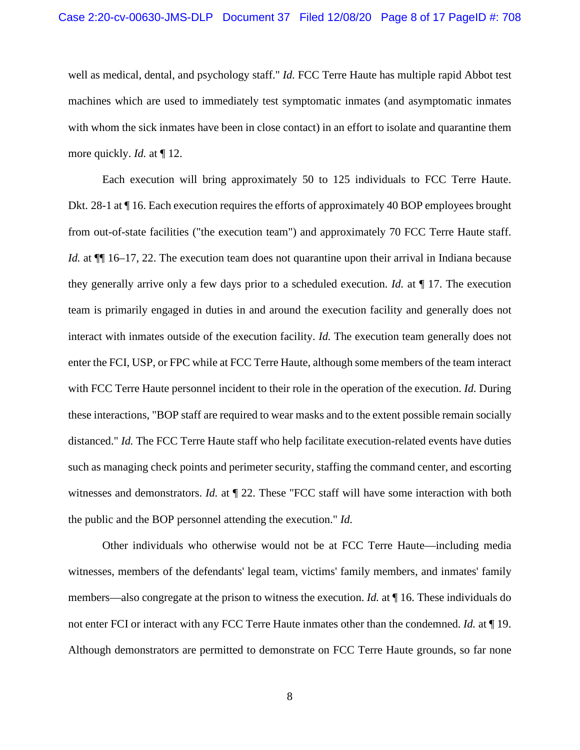well as medical, dental, and psychology staff." *Id.* FCC Terre Haute has multiple rapid Abbot test machines which are used to immediately test symptomatic inmates (and asymptomatic inmates with whom the sick inmates have been in close contact) in an effort to isolate and quarantine them more quickly. *Id.* at  $\P$  12.

Each execution will bring approximately 50 to 125 individuals to FCC Terre Haute. Dkt. 28-1 at ¶ 16. Each execution requires the efforts of approximately 40 BOP employees brought from out-of-state facilities ("the execution team") and approximately 70 FCC Terre Haute staff. *Id.* at  $\P$  16–17, 22. The execution team does not quarantine upon their arrival in Indiana because they generally arrive only a few days prior to a scheduled execution. *Id.* at ¶ 17. The execution team is primarily engaged in duties in and around the execution facility and generally does not interact with inmates outside of the execution facility. *Id.* The execution team generally does not enter the FCI, USP, or FPC while at FCC Terre Haute, although some members of the team interact with FCC Terre Haute personnel incident to their role in the operation of the execution. *Id.* During these interactions, "BOP staff are required to wear masks and to the extent possible remain socially distanced." *Id.* The FCC Terre Haute staff who help facilitate execution-related events have duties such as managing check points and perimeter security, staffing the command center, and escorting witnesses and demonstrators. *Id.* at  $\P$  22. These "FCC staff will have some interaction with both the public and the BOP personnel attending the execution." *Id.*

Other individuals who otherwise would not be at FCC Terre Haute—including media witnesses, members of the defendants' legal team, victims' family members, and inmates' family members—also congregate at the prison to witness the execution. *Id.* at ¶ 16. These individuals do not enter FCI or interact with any FCC Terre Haute inmates other than the condemned. *Id.* at ¶ 19. Although demonstrators are permitted to demonstrate on FCC Terre Haute grounds, so far none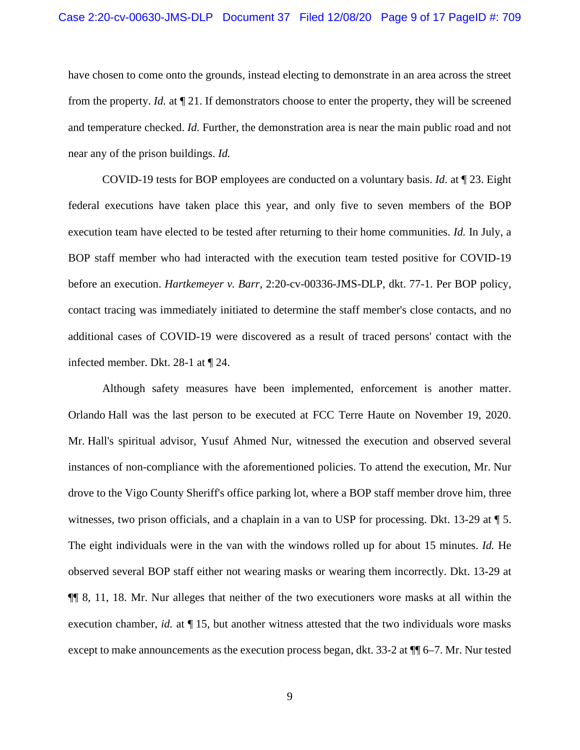have chosen to come onto the grounds, instead electing to demonstrate in an area across the street from the property. *Id.* at ¶ 21. If demonstrators choose to enter the property, they will be screened and temperature checked. *Id.* Further, the demonstration area is near the main public road and not near any of the prison buildings. *Id.*

COVID-19 tests for BOP employees are conducted on a voluntary basis. *Id.* at ¶ 23. Eight federal executions have taken place this year, and only five to seven members of the BOP execution team have elected to be tested after returning to their home communities. *Id.* In July, a BOP staff member who had interacted with the execution team tested positive for COVID-19 before an execution. *Hartkemeyer v. Barr*, 2:20-cv-00336-JMS-DLP, dkt. 77-1. Per BOP policy, contact tracing was immediately initiated to determine the staff member's close contacts, and no additional cases of COVID-19 were discovered as a result of traced persons' contact with the infected member. Dkt. 28-1 at ¶ 24.

Although safety measures have been implemented, enforcement is another matter. Orlando Hall was the last person to be executed at FCC Terre Haute on November 19, 2020. Mr. Hall's spiritual advisor, Yusuf Ahmed Nur, witnessed the execution and observed several instances of non-compliance with the aforementioned policies. To attend the execution, Mr. Nur drove to the Vigo County Sheriff's office parking lot, where a BOP staff member drove him, three witnesses, two prison officials, and a chaplain in a van to USP for processing. Dkt. 13-29 at ¶ 5. The eight individuals were in the van with the windows rolled up for about 15 minutes. *Id.* He observed several BOP staff either not wearing masks or wearing them incorrectly. Dkt. 13-29 at ¶¶ 8, 11, 18. Mr. Nur alleges that neither of the two executioners wore masks at all within the execution chamber, *id.* at  $\P$  15, but another witness attested that the two individuals wore masks except to make announcements as the execution process began, dkt. 33-2 at ¶¶ 6–7. Mr. Nur tested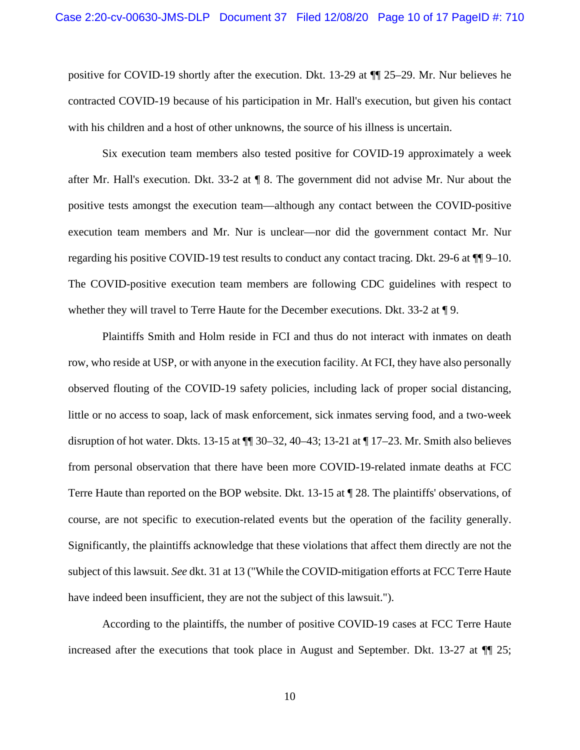positive for COVID-19 shortly after the execution. Dkt. 13-29 at ¶¶ 25–29. Mr. Nur believes he contracted COVID-19 because of his participation in Mr. Hall's execution, but given his contact with his children and a host of other unknowns, the source of his illness is uncertain.

Six execution team members also tested positive for COVID-19 approximately a week after Mr. Hall's execution. Dkt. 33-2 at ¶ 8. The government did not advise Mr. Nur about the positive tests amongst the execution team—although any contact between the COVID-positive execution team members and Mr. Nur is unclear—nor did the government contact Mr. Nur regarding his positive COVID-19 test results to conduct any contact tracing. Dkt. 29-6 at ¶¶ 9–10. The COVID-positive execution team members are following CDC guidelines with respect to whether they will travel to Terre Haute for the December executions. Dkt. 33-2 at  $\P$ 9.

Plaintiffs Smith and Holm reside in FCI and thus do not interact with inmates on death row, who reside at USP, or with anyone in the execution facility. At FCI, they have also personally observed flouting of the COVID-19 safety policies, including lack of proper social distancing, little or no access to soap, lack of mask enforcement, sick inmates serving food, and a two-week disruption of hot water. Dkts. 13-15 at ¶¶ 30–32, 40–43; 13-21 at ¶ 17–23. Mr. Smith also believes from personal observation that there have been more COVID-19-related inmate deaths at FCC Terre Haute than reported on the BOP website. Dkt. 13-15 at ¶ 28. The plaintiffs' observations, of course, are not specific to execution-related events but the operation of the facility generally. Significantly, the plaintiffs acknowledge that these violations that affect them directly are not the subject of this lawsuit. *See* dkt. 31 at 13 ("While the COVID-mitigation efforts at FCC Terre Haute have indeed been insufficient, they are not the subject of this lawsuit.").

According to the plaintiffs, the number of positive COVID-19 cases at FCC Terre Haute increased after the executions that took place in August and September. Dkt. 13-27 at  $\P$  25;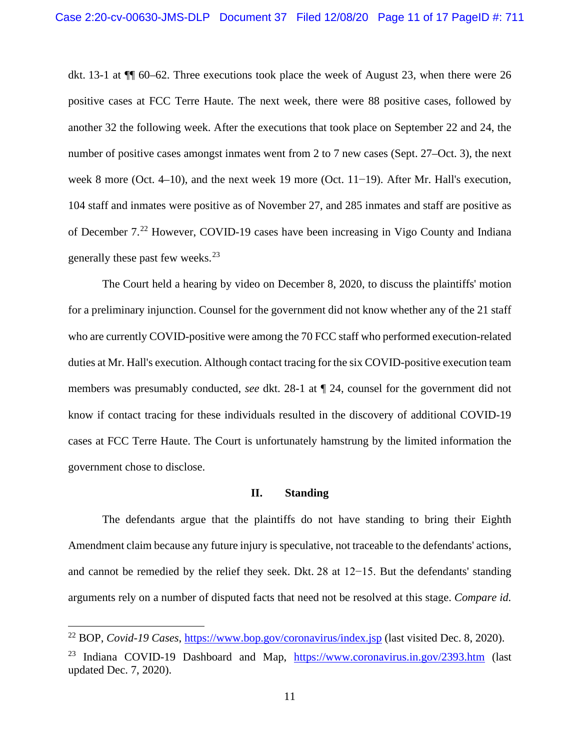dkt. 13-1 at ¶¶ 60–62. Three executions took place the week of August 23, when there were 26 positive cases at FCC Terre Haute. The next week, there were 88 positive cases, followed by another 32 the following week. After the executions that took place on September 22 and 24, the number of positive cases amongst inmates went from 2 to 7 new cases (Sept. 27–Oct. 3), the next week 8 more (Oct. 4–10), and the next week 19 more (Oct. 11−19). After Mr. Hall's execution, 104 staff and inmates were positive as of November 27, and 285 inmates and staff are positive as of December 7.[22](#page-10-0) However, COVID-19 cases have been increasing in Vigo County and Indiana generally these past few weeks.<sup>[23](#page-10-1)</sup>

The Court held a hearing by video on December 8, 2020, to discuss the plaintiffs' motion for a preliminary injunction. Counsel for the government did not know whether any of the 21 staff who are currently COVID-positive were among the 70 FCC staff who performed execution-related duties at Mr. Hall's execution. Although contact tracing for the six COVID-positive execution team members was presumably conducted, *see* dkt. 28-1 at ¶ 24, counsel for the government did not know if contact tracing for these individuals resulted in the discovery of additional COVID-19 cases at FCC Terre Haute. The Court is unfortunately hamstrung by the limited information the government chose to disclose.

### **II. Standing**

The defendants argue that the plaintiffs do not have standing to bring their Eighth Amendment claim because any future injury is speculative, not traceable to the defendants' actions, and cannot be remedied by the relief they seek. Dkt. 28 at 12−15. But the defendants' standing arguments rely on a number of disputed facts that need not be resolved at this stage. *Compare id.*

<span id="page-10-0"></span><sup>22</sup> BOP, *Covid-19 Cases*,<https://www.bop.gov/coronavirus/index.jsp> (last visited Dec. 8, 2020).

<span id="page-10-1"></span><sup>&</sup>lt;sup>23</sup> Indiana COVID-19 Dashboard and Map,  $\frac{https://www.coronavirus.in.gov/2393.htm}{https://www.coronavirus.in.gov/2393.htm}$  $\frac{https://www.coronavirus.in.gov/2393.htm}{https://www.coronavirus.in.gov/2393.htm}$  $\frac{https://www.coronavirus.in.gov/2393.htm}{https://www.coronavirus.in.gov/2393.htm}$  (last updated Dec. 7, 2020).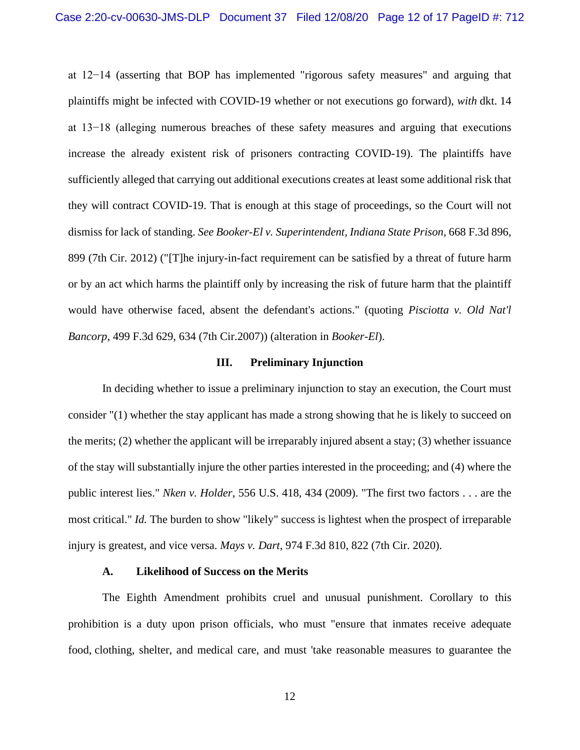at 12−14 (asserting that BOP has implemented "rigorous safety measures" and arguing that plaintiffs might be infected with COVID-19 whether or not executions go forward), *with* dkt. 14 at 13−18 (alleging numerous breaches of these safety measures and arguing that executions increase the already existent risk of prisoners contracting COVID-19). The plaintiffs have sufficiently alleged that carrying out additional executions creates at least some additional risk that they will contract COVID-19. That is enough at this stage of proceedings, so the Court will not dismiss for lack of standing. *See Booker-El v. Superintendent, Indiana State Prison*, 668 F.3d 896, 899 (7th Cir. 2012) ("[T]he injury-in-fact requirement can be satisfied by a threat of future harm or by an act which harms the plaintiff only by increasing the risk of future harm that the plaintiff would have otherwise faced, absent the defendant's actions." (quoting *Pisciotta v. Old Nat'l Bancorp*, 499 F.3d 629, 634 (7th Cir.2007)) (alteration in *Booker-El*).

#### **III. Preliminary Injunction**

In deciding whether to issue a preliminary injunction to stay an execution, the Court must consider "(1) whether the stay applicant has made a strong showing that he is likely to succeed on the merits; (2) whether the applicant will be irreparably injured absent a stay; (3) whether issuance of the stay will substantially injure the other parties interested in the proceeding; and (4) where the public interest lies." *Nken v. Holder*, 556 U.S. 418, 434 (2009). "The first two factors . . . are the most critical." *Id.* The burden to show "likely" success is lightest when the prospect of irreparable injury is greatest, and vice versa. *Mays v. Dart*, 974 F.3d 810, 822 (7th Cir. 2020).

## **A. Likelihood of Success on the Merits**

The Eighth Amendment prohibits cruel and unusual punishment. Corollary to this prohibition is a duty upon prison officials, who must "ensure that inmates receive adequate food, clothing, shelter, and medical care, and must 'take reasonable measures to guarantee the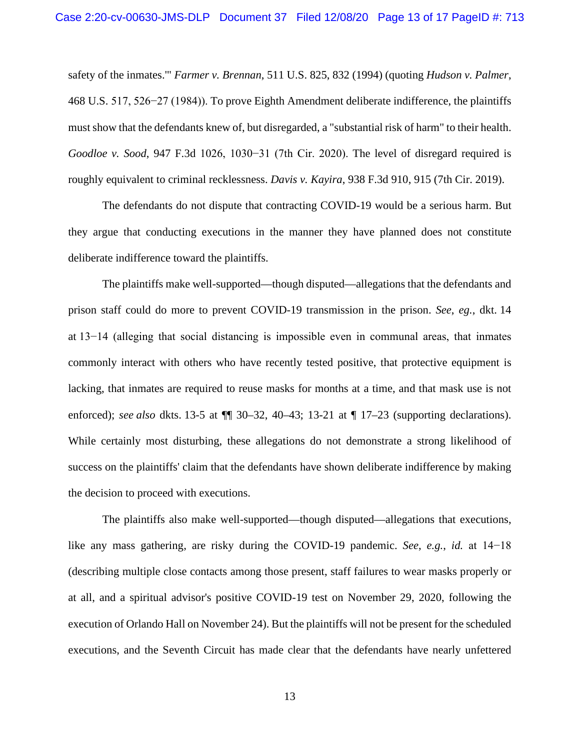safety of the inmates.'" *Farmer v. Brennan*, 511 U.S. 825, 832 (1994) (quoting *Hudson v. Palmer*, 468 U.S. 517, 526−27 (1984)). To prove Eighth Amendment deliberate indifference, the plaintiffs must show that the defendants knew of, but disregarded, a "substantial risk of harm" to their health. *Goodloe v. Sood*, 947 F.3d 1026, 1030−31 (7th Cir. 2020). The level of disregard required is roughly equivalent to criminal recklessness. *Davis v. Kayira*, 938 F.3d 910, 915 (7th Cir. 2019).

The defendants do not dispute that contracting COVID-19 would be a serious harm. But they argue that conducting executions in the manner they have planned does not constitute deliberate indifference toward the plaintiffs.

The plaintiffs make well-supported—though disputed—allegations that the defendants and prison staff could do more to prevent COVID-19 transmission in the prison. *See*, *eg.*, dkt. 14 at 13−14 (alleging that social distancing is impossible even in communal areas, that inmates commonly interact with others who have recently tested positive, that protective equipment is lacking, that inmates are required to reuse masks for months at a time, and that mask use is not enforced); *see also* dkts. 13-5 at  $\P$  30–32, 40–43; 13-21 at  $\P$  17–23 (supporting declarations). While certainly most disturbing, these allegations do not demonstrate a strong likelihood of success on the plaintiffs' claim that the defendants have shown deliberate indifference by making the decision to proceed with executions.

The plaintiffs also make well-supported—though disputed—allegations that executions, like any mass gathering, are risky during the COVID-19 pandemic. *See*, *e.g.*, *id.* at 14−18 (describing multiple close contacts among those present, staff failures to wear masks properly or at all, and a spiritual advisor's positive COVID-19 test on November 29, 2020, following the execution of Orlando Hall on November 24). But the plaintiffs will not be present for the scheduled executions, and the Seventh Circuit has made clear that the defendants have nearly unfettered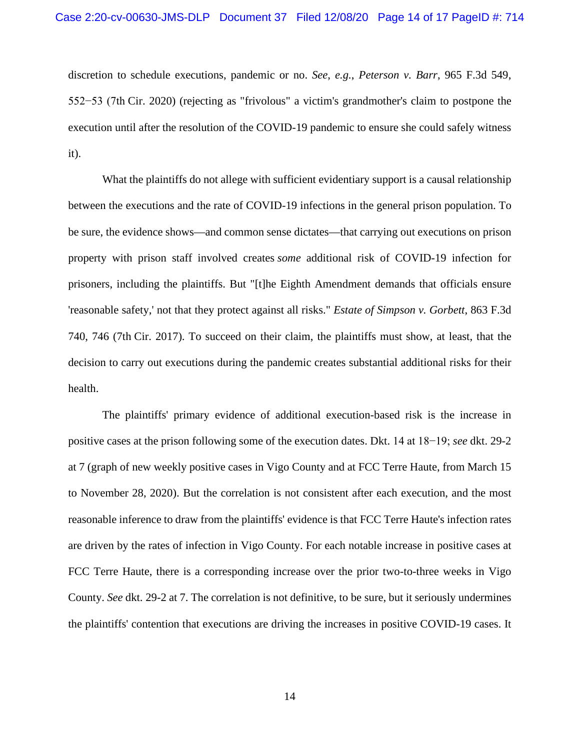discretion to schedule executions, pandemic or no. *See*, *e.g.*, *Peterson v. Barr*, 965 F.3d 549, 552−53 (7th Cir. 2020) (rejecting as "frivolous" a victim's grandmother's claim to postpone the execution until after the resolution of the COVID-19 pandemic to ensure she could safely witness it).

What the plaintiffs do not allege with sufficient evidentiary support is a causal relationship between the executions and the rate of COVID-19 infections in the general prison population. To be sure, the evidence shows—and common sense dictates—that carrying out executions on prison property with prison staff involved creates *some* additional risk of COVID-19 infection for prisoners, including the plaintiffs. But "[t]he Eighth Amendment demands that officials ensure 'reasonable safety,' not that they protect against all risks." *Estate of Simpson v. Gorbett*, 863 F.3d 740, 746 (7th Cir. 2017). To succeed on their claim, the plaintiffs must show, at least, that the decision to carry out executions during the pandemic creates substantial additional risks for their health.

The plaintiffs' primary evidence of additional execution-based risk is the increase in positive cases at the prison following some of the execution dates. Dkt. 14 at 18−19; *see* dkt. 29-2 at 7 (graph of new weekly positive cases in Vigo County and at FCC Terre Haute, from March 15 to November 28, 2020). But the correlation is not consistent after each execution, and the most reasonable inference to draw from the plaintiffs' evidence is that FCC Terre Haute's infection rates are driven by the rates of infection in Vigo County. For each notable increase in positive cases at FCC Terre Haute, there is a corresponding increase over the prior two-to-three weeks in Vigo County. *See* dkt. 29-2 at 7. The correlation is not definitive, to be sure, but it seriously undermines the plaintiffs' contention that executions are driving the increases in positive COVID-19 cases. It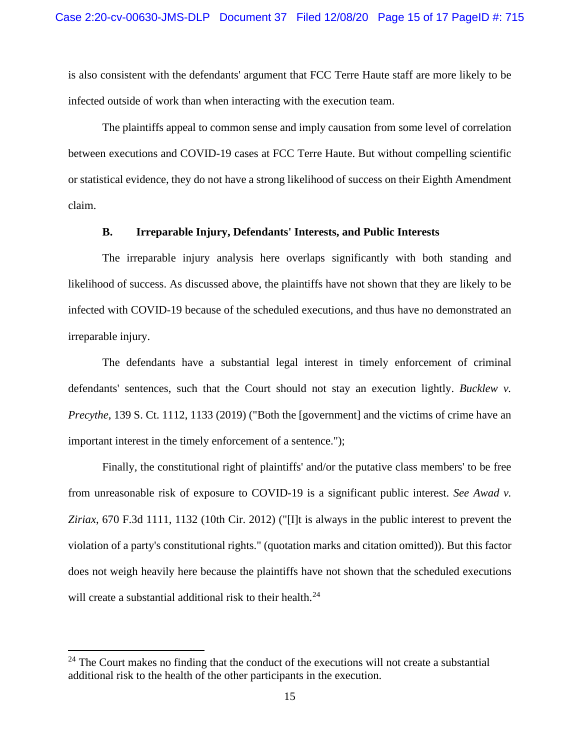is also consistent with the defendants' argument that FCC Terre Haute staff are more likely to be infected outside of work than when interacting with the execution team.

The plaintiffs appeal to common sense and imply causation from some level of correlation between executions and COVID-19 cases at FCC Terre Haute. But without compelling scientific or statistical evidence, they do not have a strong likelihood of success on their Eighth Amendment claim.

## **B. Irreparable Injury, Defendants' Interests, and Public Interests**

The irreparable injury analysis here overlaps significantly with both standing and likelihood of success. As discussed above, the plaintiffs have not shown that they are likely to be infected with COVID-19 because of the scheduled executions, and thus have no demonstrated an irreparable injury.

The defendants have a substantial legal interest in timely enforcement of criminal defendants' sentences, such that the Court should not stay an execution lightly. *Bucklew v. Precythe*, 139 S. Ct. 1112, 1133 (2019) ("Both the [government] and the victims of crime have an important interest in the timely enforcement of a sentence.");

Finally, the constitutional right of plaintiffs' and/or the putative class members' to be free from unreasonable risk of exposure to COVID-19 is a significant public interest. *See Awad v. Ziriax*, 670 F.3d 1111, 1132 (10th Cir. 2012) ("[I]t is always in the public interest to prevent the violation of a party's constitutional rights." (quotation marks and citation omitted)). But this factor does not weigh heavily here because the plaintiffs have not shown that the scheduled executions will create a substantial additional risk to their health.<sup>[24](#page-14-0)</sup>

<span id="page-14-0"></span> $24$  The Court makes no finding that the conduct of the executions will not create a substantial additional risk to the health of the other participants in the execution.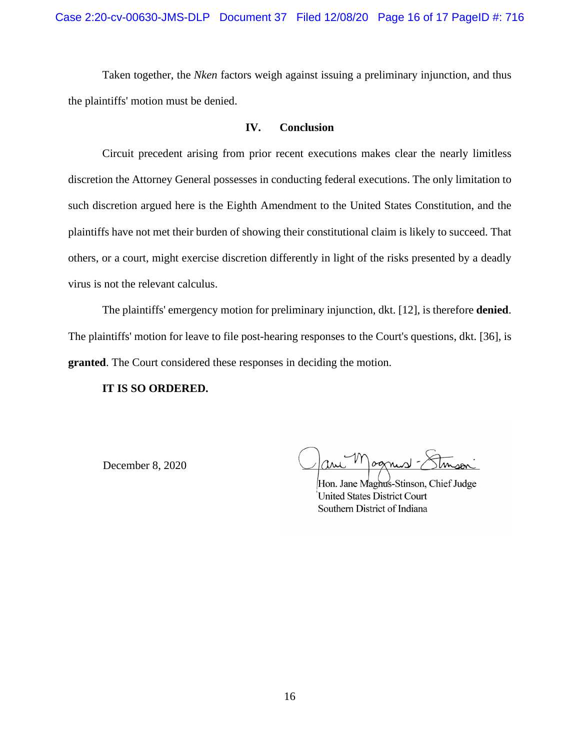Taken together, the *Nken* factors weigh against issuing a preliminary injunction, and thus the plaintiffs' motion must be denied.

## **IV. Conclusion**

Circuit precedent arising from prior recent executions makes clear the nearly limitless discretion the Attorney General possesses in conducting federal executions. The only limitation to such discretion argued here is the Eighth Amendment to the United States Constitution, and the plaintiffs have not met their burden of showing their constitutional claim is likely to succeed. That others, or a court, might exercise discretion differently in light of the risks presented by a deadly virus is not the relevant calculus.

The plaintiffs' emergency motion for preliminary injunction, dkt. [12], is therefore **denied**. The plaintiffs' motion for leave to file post-hearing responses to the Court's questions, dkt. [36], is **granted**. The Court considered these responses in deciding the motion.

#### **IT IS SO ORDERED.**

December 8, 2020

Hon. Jane Maghus-Stinson, Chief Judge **United States District Court** Southern District of Indiana